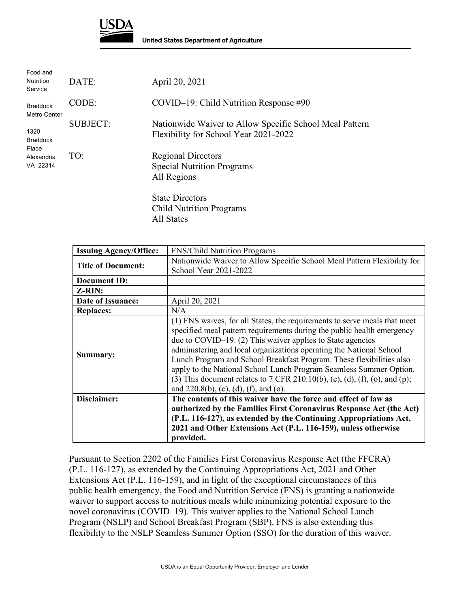

| Food and<br><b>Nutrition</b><br>Service                    | DATE:           | April 20, 2021                                                                                   |
|------------------------------------------------------------|-----------------|--------------------------------------------------------------------------------------------------|
| <b>Braddock</b><br>Metro Center                            | CODE:           | $COVID-19$ : Child Nutrition Response #90                                                        |
| 1320<br><b>Braddock</b><br>Place<br>Alexandria<br>VA 22314 | <b>SUBJECT:</b> | Nationwide Waiver to Allow Specific School Meal Pattern<br>Flexibility for School Year 2021-2022 |
|                                                            | TO:             | <b>Regional Directors</b><br><b>Special Nutrition Programs</b><br>All Regions                    |
|                                                            |                 | <b>State Directors</b><br><b>Child Nutrition Programs</b>                                        |

All States

| <b>Issuing Agency/Office:</b> | <b>FNS/Child Nutrition Programs</b>                                        |
|-------------------------------|----------------------------------------------------------------------------|
| <b>Title of Document:</b>     | Nationwide Waiver to Allow Specific School Meal Pattern Flexibility for    |
|                               | School Year 2021-2022                                                      |
| <b>Document ID:</b>           |                                                                            |
| Z-RIN:                        |                                                                            |
| Date of Issuance:             | April 20, 2021                                                             |
| <b>Replaces:</b>              | N/A                                                                        |
|                               | (1) FNS waives, for all States, the requirements to serve meals that meet  |
|                               | specified meal pattern requirements during the public health emergency     |
|                               | due to COVID-19. (2) This waiver applies to State agencies                 |
| Summary:                      | administering and local organizations operating the National School        |
|                               | Lunch Program and School Breakfast Program. These flexibilities also       |
|                               | apply to the National School Lunch Program Seamless Summer Option.         |
|                               | (3) This document relates to 7 CFR 210.10(b), (c), (d), (f), (o), and (p); |
|                               | and $220.8(b)$ , (c), (d), (f), and (o).                                   |
| Disclaimer:                   | The contents of this waiver have the force and effect of law as            |
|                               | authorized by the Families First Coronavirus Response Act (the Act)        |
|                               | (P.L. 116-127), as extended by the Continuing Appropriations Act,          |
|                               | 2021 and Other Extensions Act (P.L. 116-159), unless otherwise             |
|                               | provided.                                                                  |

Pursuant to Section 2202 of the Families First Coronavirus Response Act (the FFCRA) (P.L. 116-127), as extended by the Continuing Appropriations Act, 2021 and Other Extensions Act (P.L. 116-159), and in light of the exceptional circumstances of this public health emergency, the Food and Nutrition Service (FNS) is granting a nationwide waiver to support access to nutritious meals while minimizing potential exposure to the novel coronavirus (COVID–19). This waiver applies to the National School Lunch Program (NSLP) and School Breakfast Program (SBP). FNS is also extending this flexibility to the NSLP Seamless Summer Option (SSO) for the duration of this waiver.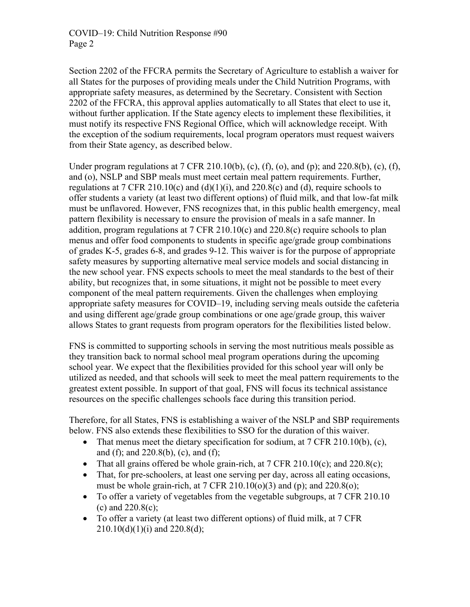Section 2202 of the FFCRA permits the Secretary of Agriculture to establish a waiver for all States for the purposes of providing meals under the Child Nutrition Programs, with appropriate safety measures, as determined by the Secretary. Consistent with Section 2202 of the FFCRA, this approval applies automatically to all States that elect to use it, without further application. If the State agency elects to implement these flexibilities, it must notify its respective FNS Regional Office, which will acknowledge receipt. With the exception of the sodium requirements, local program operators must request waivers from their State agency, as described below.

Under program regulations at 7 CFR 210.10(b), (c), (f), (o), and (p); and 220.8(b), (c), (f), and (o), NSLP and SBP meals must meet certain meal pattern requirements. Further, regulations at  $7 \text{ CFR } 210.10(c)$  and  $(d)(1)(i)$ , and  $220.8(c)$  and  $(d)$ , require schools to offer students a variety (at least two different options) of fluid milk, and that low-fat milk must be unflavored. However, FNS recognizes that, in this public health emergency, meal pattern flexibility is necessary to ensure the provision of meals in a safe manner. In addition, program regulations at 7 CFR 210.10(c) and 220.8(c) require schools to plan menus and offer food components to students in specific age/grade group combinations of grades K-5, grades 6-8, and grades 9-12. This waiver is for the purpose of appropriate safety measures by supporting alternative meal service models and social distancing in the new school year. FNS expects schools to meet the meal standards to the best of their ability, but recognizes that, in some situations, it might not be possible to meet every component of the meal pattern requirements. Given the challenges when employing appropriate safety measures for COVID–19, including serving meals outside the cafeteria and using different age/grade group combinations or one age/grade group, this waiver allows States to grant requests from program operators for the flexibilities listed below.

FNS is committed to supporting schools in serving the most nutritious meals possible as they transition back to normal school meal program operations during the upcoming school year. We expect that the flexibilities provided for this school year will only be utilized as needed, and that schools will seek to meet the meal pattern requirements to the greatest extent possible. In support of that goal, FNS will focus its technical assistance resources on the specific challenges schools face during this transition period.

Therefore, for all States, FNS is establishing a waiver of the NSLP and SBP requirements below. FNS also extends these flexibilities to SSO for the duration of this waiver.

- That menus meet the dietary specification for sodium, at  $7 \text{ CFR } 210.10(b)$ , (c), and (f); and 220.8(b), (c), and (f);
- That all grains offered be whole grain-rich, at  $7 \text{ CFR } 210.10(c)$ ; and  $220.8(c)$ ;
- That, for pre-schoolers, at least one serving per day, across all eating occasions, must be whole grain-rich, at  $7 \text{ CFR } 210.10(o)(3)$  and (p); and  $220.8(o)$ ;
- To offer a variety of vegetables from the vegetable subgroups, at 7 CFR 210.10 (c) and 220.8(c);
- To offer a variety (at least two different options) of fluid milk, at 7 CFR  $210.10(d)(1)(i)$  and  $220.8(d)$ ;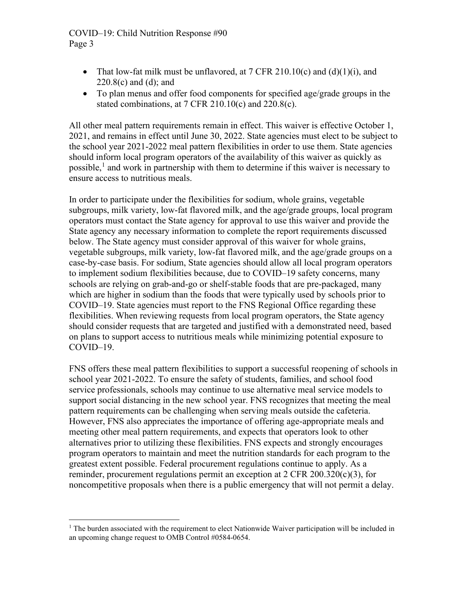## COVID–19: Child Nutrition Response #90 Page 3

- That low-fat milk must be unflavored, at  $7 \text{ CFR } 210.10(c)$  and  $(d)(1)(i)$ , and 220.8(c) and (d); and
- To plan menus and offer food components for specified age/grade groups in the stated combinations, at  $7 \text{ CFR } 210.10(c)$  and  $220.8(c)$ .

All other meal pattern requirements remain in effect. This waiver is effective October 1, 2021, and remains in effect until June 30, 2022. State agencies must elect to be subject to the school year 2021-2022 meal pattern flexibilities in order to use them. State agencies should inform local program operators of the availability of this waiver as quickly as possible,<sup>[1](#page-2-0)</sup> and work in partnership with them to determine if this waiver is necessary to ensure access to nutritious meals.

In order to participate under the flexibilities for sodium, whole grains, vegetable subgroups, milk variety, low-fat flavored milk, and the age/grade groups, local program operators must contact the State agency for approval to use this waiver and provide the State agency any necessary information to complete the report requirements discussed below. The State agency must consider approval of this waiver for whole grains, vegetable subgroups, milk variety, low-fat flavored milk, and the age/grade groups on a case-by-case basis. For sodium, State agencies should allow all local program operators to implement sodium flexibilities because, due to COVID–19 safety concerns, many schools are relying on grab-and-go or shelf-stable foods that are pre-packaged, many which are higher in sodium than the foods that were typically used by schools prior to COVID–19. State agencies must report to the FNS Regional Office regarding these flexibilities. When reviewing requests from local program operators, the State agency should consider requests that are targeted and justified with a demonstrated need, based on plans to support access to nutritious meals while minimizing potential exposure to COVID–19.

FNS offers these meal pattern flexibilities to support a successful reopening of schools in school year 2021-2022. To ensure the safety of students, families, and school food service professionals, schools may continue to use alternative meal service models to support social distancing in the new school year. FNS recognizes that meeting the meal pattern requirements can be challenging when serving meals outside the cafeteria. However, FNS also appreciates the importance of offering age-appropriate meals and meeting other meal pattern requirements, and expects that operators look to other alternatives prior to utilizing these flexibilities. FNS expects and strongly encourages program operators to maintain and meet the nutrition standards for each program to the greatest extent possible. Federal procurement regulations continue to apply. As a reminder, procurement regulations permit an exception at 2 CFR 200.320(c)(3), for noncompetitive proposals when there is a public emergency that will not permit a delay.

<span id="page-2-0"></span> $<sup>1</sup>$  The burden associated with the requirement to elect Nationwide Waiver participation will be included in</sup> an upcoming change request to OMB Control #0584-0654.